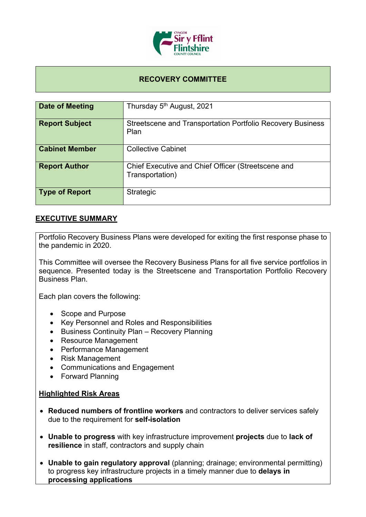

### **RECOVERY COMMITTEE**

| Date of Meeting       | Thursday 5 <sup>th</sup> August, 2021                                     |
|-----------------------|---------------------------------------------------------------------------|
| <b>Report Subject</b> | <b>Streetscene and Transportation Portfolio Recovery Business</b><br>Plan |
| <b>Cabinet Member</b> | <b>Collective Cabinet</b>                                                 |
| <b>Report Author</b>  | Chief Executive and Chief Officer (Streetscene and<br>Transportation)     |
| <b>Type of Report</b> | <b>Strategic</b>                                                          |

#### **EXECUTIVE SUMMARY**

Portfolio Recovery Business Plans were developed for exiting the first response phase to the pandemic in 2020.

This Committee will oversee the Recovery Business Plans for all five service portfolios in sequence. Presented today is the Streetscene and Transportation Portfolio Recovery Business Plan.

Each plan covers the following:

- Scope and Purpose
- Key Personnel and Roles and Responsibilities
- Business Continuity Plan Recovery Planning
- Resource Management
- Performance Management
- Risk Management
- Communications and Engagement
- Forward Planning

#### **Highlighted Risk Areas**

- **Reduced numbers of frontline workers** and contractors to deliver services safely due to the requirement for **self-isolation**
- **Unable to progress** with key infrastructure improvement **projects** due to **lack of resilience** in staff, contractors and supply chain
- **Unable to gain regulatory approval** (planning; drainage; environmental permitting) to progress key infrastructure projects in a timely manner due to **delays in processing applications**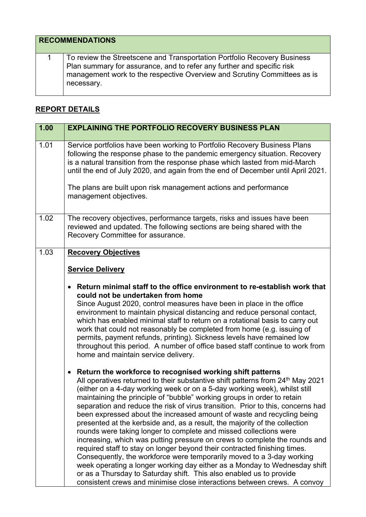# **RECOMMENDATIONS**

1 To review the Streetscene and Transportation Portfolio Recovery Business Plan summary for assurance, and to refer any further and specific risk management work to the respective Overview and Scrutiny Committees as is necessary.

## **REPORT DETAILS**

| 1.00 | <b>EXPLAINING THE PORTFOLIO RECOVERY BUSINESS PLAN</b>                                                                                                                                                                                                                                                                                                                                                                                                                                                                                                                                                                                                                                                                                                                                                                                                                                                                                                                                                                                                                                                           |
|------|------------------------------------------------------------------------------------------------------------------------------------------------------------------------------------------------------------------------------------------------------------------------------------------------------------------------------------------------------------------------------------------------------------------------------------------------------------------------------------------------------------------------------------------------------------------------------------------------------------------------------------------------------------------------------------------------------------------------------------------------------------------------------------------------------------------------------------------------------------------------------------------------------------------------------------------------------------------------------------------------------------------------------------------------------------------------------------------------------------------|
| 1.01 | Service portfolios have been working to Portfolio Recovery Business Plans<br>following the response phase to the pandemic emergency situation. Recovery<br>is a natural transition from the response phase which lasted from mid-March<br>until the end of July 2020, and again from the end of December until April 2021.                                                                                                                                                                                                                                                                                                                                                                                                                                                                                                                                                                                                                                                                                                                                                                                       |
|      | The plans are built upon risk management actions and performance<br>management objectives.                                                                                                                                                                                                                                                                                                                                                                                                                                                                                                                                                                                                                                                                                                                                                                                                                                                                                                                                                                                                                       |
| 1.02 | The recovery objectives, performance targets, risks and issues have been<br>reviewed and updated. The following sections are being shared with the<br>Recovery Committee for assurance.                                                                                                                                                                                                                                                                                                                                                                                                                                                                                                                                                                                                                                                                                                                                                                                                                                                                                                                          |
| 1.03 | <b>Recovery Objectives</b><br><b>Service Delivery</b>                                                                                                                                                                                                                                                                                                                                                                                                                                                                                                                                                                                                                                                                                                                                                                                                                                                                                                                                                                                                                                                            |
|      | Return minimal staff to the office environment to re-establish work that<br>$\bullet$<br>could not be undertaken from home<br>Since August 2020, control measures have been in place in the office<br>environment to maintain physical distancing and reduce personal contact,<br>which has enabled minimal staff to return on a rotational basis to carry out<br>work that could not reasonably be completed from home (e.g. issuing of<br>permits, payment refunds, printing). Sickness levels have remained low<br>throughout this period. A number of office based staff continue to work from<br>home and maintain service delivery.                                                                                                                                                                                                                                                                                                                                                                                                                                                                        |
|      | Return the workforce to recognised working shift patterns<br>$\bullet$<br>All operatives returned to their substantive shift patterns from 24 <sup>th</sup> May 2021<br>(either on a 4-day working week or on a 5-day working week), whilst still<br>maintaining the principle of "bubble" working groups in order to retain<br>separation and reduce the risk of virus transition. Prior to this, concerns had<br>been expressed about the increased amount of waste and recycling being<br>presented at the kerbside and, as a result, the majority of the collection<br>rounds were taking longer to complete and missed collections were<br>increasing, which was putting pressure on crews to complete the rounds and<br>required staff to stay on longer beyond their contracted finishing times.<br>Consequently, the workforce were temporarily moved to a 3-day working<br>week operating a longer working day either as a Monday to Wednesday shift<br>or as a Thursday to Saturday shift. This also enabled us to provide<br>consistent crews and minimise close interactions between crews. A convoy |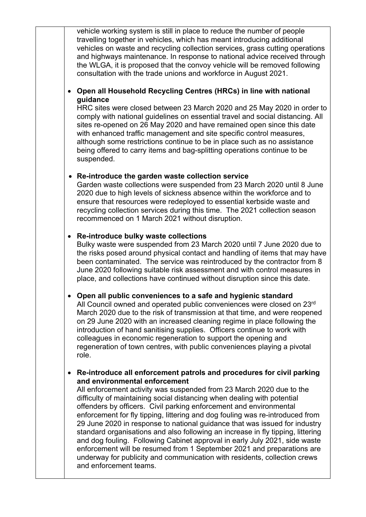vehicle working system is still in place to reduce the number of people travelling together in vehicles, which has meant introducing additional vehicles on waste and recycling collection services, grass cutting operations and highways maintenance. In response to national advice received through the WLGA, it is proposed that the convoy vehicle will be removed following consultation with the trade unions and workforce in August 2021.

#### **Open all Household Recycling Centres (HRCs) in line with national guidance**

HRC sites were closed between 23 March 2020 and 25 May 2020 in order to comply with national guidelines on essential travel and social distancing. All sites re-opened on 26 May 2020 and have remained open since this date with enhanced traffic management and site specific control measures, although some restrictions continue to be in place such as no assistance being offered to carry items and bag-splitting operations continue to be suspended.

### **Re-introduce the garden waste collection service**

Garden waste collections were suspended from 23 March 2020 until 8 June 2020 due to high levels of sickness absence within the workforce and to ensure that resources were redeployed to essential kerbside waste and recycling collection services during this time. The 2021 collection season recommenced on 1 March 2021 without disruption.

#### **Re-introduce bulky waste collections**

Bulky waste were suspended from 23 March 2020 until 7 June 2020 due to the risks posed around physical contact and handling of items that may have been contaminated. The service was reintroduced by the contractor from 8 June 2020 following suitable risk assessment and with control measures in place, and collections have continued without disruption since this date.

### **Open all public conveniences to a safe and hygienic standard**

All Council owned and operated public conveniences were closed on 23rd March 2020 due to the risk of transmission at that time, and were reopened on 29 June 2020 with an increased cleaning regime in place following the introduction of hand sanitising supplies. Officers continue to work with colleagues in economic regeneration to support the opening and regeneration of town centres, with public conveniences playing a pivotal role.

#### **Re-introduce all enforcement patrols and procedures for civil parking and environmental enforcement**

All enforcement activity was suspended from 23 March 2020 due to the difficulty of maintaining social distancing when dealing with potential offenders by officers. Civil parking enforcement and environmental enforcement for fly tipping, littering and dog fouling was re-introduced from 29 June 2020 in response to national guidance that was issued for industry standard organisations and also following an increase in fly tipping, littering and dog fouling. Following Cabinet approval in early July 2021, side waste enforcement will be resumed from 1 September 2021 and preparations are underway for publicity and communication with residents, collection crews and enforcement teams.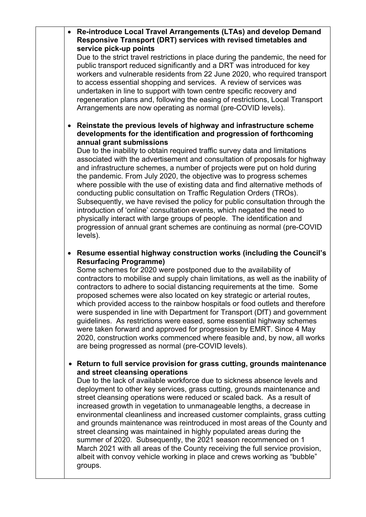**Re-introduce Local Travel Arrangements (LTAs) and develop Demand Responsive Transport (DRT) services with revised timetables and service pick-up points**

Due to the strict travel restrictions in place during the pandemic, the need for public transport reduced significantly and a DRT was introduced for key workers and vulnerable residents from 22 June 2020, who required transport to access essential shopping and services. A review of services was undertaken in line to support with town centre specific recovery and regeneration plans and, following the easing of restrictions, Local Transport Arrangements are now operating as normal (pre-COVID levels).

#### **Reinstate the previous levels of highway and infrastructure scheme developments for the identification and progression of forthcoming annual grant submissions**

Due to the inability to obtain required traffic survey data and limitations associated with the advertisement and consultation of proposals for highway and infrastructure schemes, a number of projects were put on hold during the pandemic. From July 2020, the objective was to progress schemes where possible with the use of existing data and find alternative methods of conducting public consultation on Traffic Regulation Orders (TROs). Subsequently, we have revised the policy for public consultation through the introduction of 'online' consultation events, which negated the need to physically interact with large groups of people. The identification and progression of annual grant schemes are continuing as normal (pre-COVID levels).

## **Resume essential highway construction works (including the Council's Resurfacing Programme)**

Some schemes for 2020 were postponed due to the availability of contractors to mobilise and supply chain limitations, as well as the inability of contractors to adhere to social distancing requirements at the time. Some proposed schemes were also located on key strategic or arterial routes, which provided access to the rainbow hospitals or food outlets and therefore were suspended in line with Department for Transport (DfT) and government guidelines. As restrictions were eased, some essential highway schemes were taken forward and approved for progression by EMRT. Since 4 May 2020, construction works commenced where feasible and, by now, all works are being progressed as normal (pre-COVID levels).

# **Return to full service provision for grass cutting, grounds maintenance and street cleansing operations**

Due to the lack of available workforce due to sickness absence levels and deployment to other key services, grass cutting, grounds maintenance and street cleansing operations were reduced or scaled back. As a result of increased growth in vegetation to unmanageable lengths, a decrease in environmental cleanliness and increased customer complaints, grass cutting and grounds maintenance was reintroduced in most areas of the County and street cleansing was maintained in highly populated areas during the summer of 2020. Subsequently, the 2021 season recommenced on 1 March 2021 with all areas of the County receiving the full service provision, albeit with convoy vehicle working in place and crews working as "bubble" groups.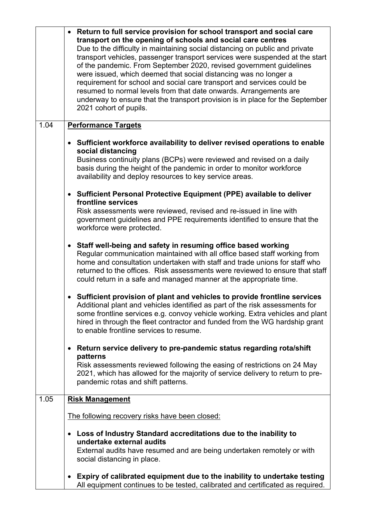|      | Return to full service provision for school transport and social care<br>transport on the opening of schools and social care centres<br>Due to the difficulty in maintaining social distancing on public and private<br>transport vehicles, passenger transport services were suspended at the start<br>of the pandemic. From September 2020, revised government guidelines<br>were issued, which deemed that social distancing was no longer a<br>requirement for school and social care transport and services could be<br>resumed to normal levels from that date onwards. Arrangements are<br>underway to ensure that the transport provision is in place for the September<br>2021 cohort of pupils. |
|------|-----------------------------------------------------------------------------------------------------------------------------------------------------------------------------------------------------------------------------------------------------------------------------------------------------------------------------------------------------------------------------------------------------------------------------------------------------------------------------------------------------------------------------------------------------------------------------------------------------------------------------------------------------------------------------------------------------------|
| 1.04 | <b>Performance Targets</b>                                                                                                                                                                                                                                                                                                                                                                                                                                                                                                                                                                                                                                                                                |
|      | Sufficient workforce availability to deliver revised operations to enable<br>$\bullet$<br>social distancing<br>Business continuity plans (BCPs) were reviewed and revised on a daily<br>basis during the height of the pandemic in order to monitor workforce<br>availability and deploy resources to key service areas.                                                                                                                                                                                                                                                                                                                                                                                  |
|      | Sufficient Personal Protective Equipment (PPE) available to deliver<br>$\bullet$<br>frontline services<br>Risk assessments were reviewed, revised and re-issued in line with<br>government guidelines and PPE requirements identified to ensure that the<br>workforce were protected.                                                                                                                                                                                                                                                                                                                                                                                                                     |
|      | Staff well-being and safety in resuming office based working<br>$\bullet$<br>Regular communication maintained with all office based staff working from<br>home and consultation undertaken with staff and trade unions for staff who<br>returned to the offices. Risk assessments were reviewed to ensure that staff<br>could return in a safe and managed manner at the appropriate time.                                                                                                                                                                                                                                                                                                                |
|      | Sufficient provision of plant and vehicles to provide frontline services<br>Additional plant and vehicles identified as part of the risk assessments for<br>some frontline services e.g. convoy vehicle working. Extra vehicles and plant<br>hired in through the fleet contractor and funded from the WG hardship grant<br>to enable frontline services to resume.                                                                                                                                                                                                                                                                                                                                       |
|      | Return service delivery to pre-pandemic status regarding rota/shift<br>$\bullet$                                                                                                                                                                                                                                                                                                                                                                                                                                                                                                                                                                                                                          |
|      | patterns<br>Risk assessments reviewed following the easing of restrictions on 24 May<br>2021, which has allowed for the majority of service delivery to return to pre-<br>pandemic rotas and shift patterns.                                                                                                                                                                                                                                                                                                                                                                                                                                                                                              |
| 1.05 | <b>Risk Management</b>                                                                                                                                                                                                                                                                                                                                                                                                                                                                                                                                                                                                                                                                                    |
|      | The following recovery risks have been closed:                                                                                                                                                                                                                                                                                                                                                                                                                                                                                                                                                                                                                                                            |
|      | Loss of Industry Standard accreditations due to the inability to<br>$\bullet$<br>undertake external audits<br>External audits have resumed and are being undertaken remotely or with<br>social distancing in place.                                                                                                                                                                                                                                                                                                                                                                                                                                                                                       |
|      | Expiry of calibrated equipment due to the inability to undertake testing<br>$\bullet$<br>All equipment continues to be tested, calibrated and certificated as required.                                                                                                                                                                                                                                                                                                                                                                                                                                                                                                                                   |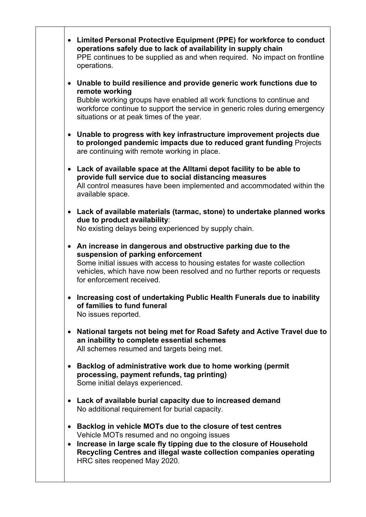**Limited Personal Protective Equipment (PPE) for workforce to conduct operations safely due to lack of availability in supply chain** PPE continues to be supplied as and when required. No impact on frontline operations. **Unable to build resilience and provide generic work functions due to remote working** Bubble working groups have enabled all work functions to continue and workforce continue to support the service in generic roles during emergency situations or at peak times of the year. **Unable to progress with key infrastructure improvement projects due to prolonged pandemic impacts due to reduced grant funding** Projects are continuing with remote working in place. **Lack of available space at the Alltami depot facility to be able to provide full service due to social distancing measures** All control measures have been implemented and accommodated within the available space. **Lack of available materials (tarmac, stone) to undertake planned works due to product availability**: No existing delays being experienced by supply chain. **An increase in dangerous and obstructive parking due to the suspension of parking enforcement** Some initial issues with access to housing estates for waste collection vehicles, which have now been resolved and no further reports or requests for enforcement received. **Increasing cost of undertaking Public Health Funerals due to inability of families to fund funeral** No issues reported. **National targets not being met for Road Safety and Active Travel due to an inability to complete essential schemes** All schemes resumed and targets being met. **Backlog of administrative work due to home working (permit processing, payment refunds, tag printing)** Some initial delays experienced. **Lack of available burial capacity due to increased demand** No additional requirement for burial capacity. **Backlog in vehicle MOTs due to the closure of test centres** Vehicle MOTs resumed and no ongoing issues **Increase in large scale fly tipping due to the closure of Household Recycling Centres and illegal waste collection companies operating** HRC sites reopened May 2020.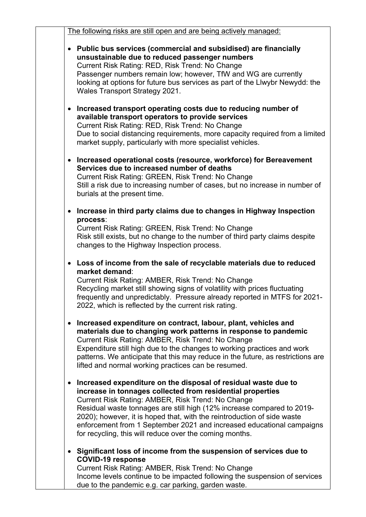| The following risks are still open and are being actively managed:                                                                                                                                                                                                                                                                                                                                                                                                                                                                                                                                                                                                               |
|----------------------------------------------------------------------------------------------------------------------------------------------------------------------------------------------------------------------------------------------------------------------------------------------------------------------------------------------------------------------------------------------------------------------------------------------------------------------------------------------------------------------------------------------------------------------------------------------------------------------------------------------------------------------------------|
| Public bus services (commercial and subsidised) are financially<br>unsustainable due to reduced passenger numbers<br>Current Risk Rating: RED, Risk Trend: No Change<br>Passenger numbers remain low; however, TfW and WG are currently<br>looking at options for future bus services as part of the Llwybr Newydd: the<br>Wales Transport Strategy 2021.<br>Increased transport operating costs due to reducing number of<br>available transport operators to provide services<br>Current Risk Rating: RED, Risk Trend: No Change<br>Due to social distancing requirements, more capacity required from a limited<br>market supply, particularly with more specialist vehicles. |
| Increased operational costs (resource, workforce) for Bereavement<br>Services due to increased number of deaths<br>Current Risk Rating: GREEN, Risk Trend: No Change<br>Still a risk due to increasing number of cases, but no increase in number of<br>burials at the present time.                                                                                                                                                                                                                                                                                                                                                                                             |
| Increase in third party claims due to changes in Highway Inspection<br>process:<br>Current Risk Rating: GREEN, Risk Trend: No Change<br>Risk still exists, but no change to the number of third party claims despite<br>changes to the Highway Inspection process.                                                                                                                                                                                                                                                                                                                                                                                                               |
| Loss of income from the sale of recyclable materials due to reduced<br>market demand:<br>Current Risk Rating: AMBER, Risk Trend: No Change<br>Recycling market still showing signs of volatility with prices fluctuating<br>frequently and unpredictably. Pressure already reported in MTFS for 2021-<br>2022, which is reflected by the current risk rating.                                                                                                                                                                                                                                                                                                                    |
| Increased expenditure on contract, labour, plant, vehicles and<br>materials due to changing work patterns in response to pandemic<br>Current Risk Rating: AMBER, Risk Trend: No Change<br>Expenditure still high due to the changes to working practices and work<br>patterns. We anticipate that this may reduce in the future, as restrictions are<br>lifted and normal working practices can be resumed.                                                                                                                                                                                                                                                                      |
| Increased expenditure on the disposal of residual waste due to<br>increase in tonnages collected from residential properties<br>Current Risk Rating: AMBER, Risk Trend: No Change<br>Residual waste tonnages are still high (12% increase compared to 2019-<br>2020); however, it is hoped that, with the reintroduction of side waste<br>enforcement from 1 September 2021 and increased educational campaigns<br>for recycling, this will reduce over the coming months.                                                                                                                                                                                                       |
| Significant loss of income from the suspension of services due to<br><b>COVID-19 response</b><br>Current Risk Rating: AMBER, Risk Trend: No Change<br>Income levels continue to be impacted following the suspension of services<br>due to the pandemic e.g. car parking, garden waste.                                                                                                                                                                                                                                                                                                                                                                                          |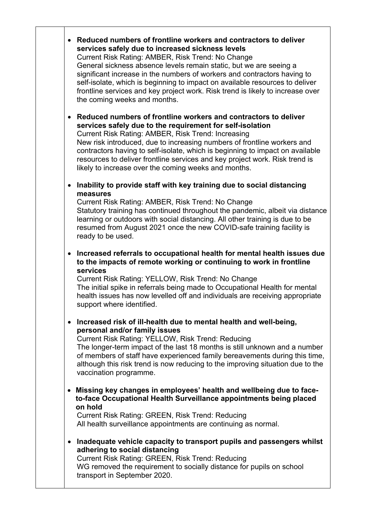**Reduced numbers of frontline workers and contractors to deliver services safely due to increased sickness levels** Current Risk Rating: AMBER, Risk Trend: No Change General sickness absence levels remain static, but we are seeing a significant increase in the numbers of workers and contractors having to self-isolate, which is beginning to impact on available resources to deliver frontline services and key project work. Risk trend is likely to increase over the coming weeks and months.

 **Reduced numbers of frontline workers and contractors to deliver services safely due to the requirement for self-isolation** Current Risk Rating: AMBER, Risk Trend: Increasing New risk introduced, due to increasing numbers of frontline workers and contractors having to self-isolate, which is beginning to impact on available resources to deliver frontline services and key project work. Risk trend is likely to increase over the coming weeks and months.

 **Inability to provide staff with key training due to social distancing measures**

Current Risk Rating: AMBER, Risk Trend: No Change Statutory training has continued throughout the pandemic, albeit via distance learning or outdoors with social distancing. All other training is due to be resumed from August 2021 once the new COVID-safe training facility is ready to be used.

 **Increased referrals to occupational health for mental health issues due to the impacts of remote working or continuing to work in frontline services**

Current Risk Rating: YELLOW, Risk Trend: No Change The initial spike in referrals being made to Occupational Health for mental health issues has now levelled off and individuals are receiving appropriate support where identified.

 **Increased risk of ill-health due to mental health and well-being, personal and/or family issues**

Current Risk Rating: YELLOW, Risk Trend: Reducing The longer-term impact of the last 18 months is still unknown and a number of members of staff have experienced family bereavements during this time, although this risk trend is now reducing to the improving situation due to the vaccination programme.

 **Missing key changes in employees' health and wellbeing due to faceto-face Occupational Health Surveillance appointments being placed on hold**

Current Risk Rating: GREEN, Risk Trend: Reducing All health surveillance appointments are continuing as normal.

 **Inadequate vehicle capacity to transport pupils and passengers whilst adhering to social distancing**

Current Risk Rating: GREEN, Risk Trend: Reducing WG removed the requirement to socially distance for pupils on school transport in September 2020.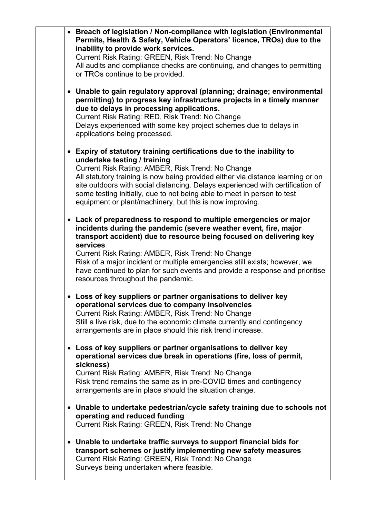|           | • Breach of legislation / Non-compliance with legislation (Environmental<br>Permits, Health & Safety, Vehicle Operators' licence, TROs) due to the<br>inability to provide work services.<br>Current Risk Rating: GREEN, Risk Trend: No Change<br>All audits and compliance checks are continuing, and changes to permitting<br>or TROs continue to be provided.                                                                                                                   |
|-----------|------------------------------------------------------------------------------------------------------------------------------------------------------------------------------------------------------------------------------------------------------------------------------------------------------------------------------------------------------------------------------------------------------------------------------------------------------------------------------------|
|           | • Unable to gain regulatory approval (planning; drainage; environmental<br>permitting) to progress key infrastructure projects in a timely manner<br>due to delays in processing applications.<br>Current Risk Rating: RED, Risk Trend: No Change<br>Delays experienced with some key project schemes due to delays in<br>applications being processed.                                                                                                                            |
|           | • Expiry of statutory training certifications due to the inability to<br>undertake testing / training<br>Current Risk Rating: AMBER, Risk Trend: No Change<br>All statutory training is now being provided either via distance learning or on<br>site outdoors with social distancing. Delays experienced with certification of<br>some testing initially, due to not being able to meet in person to test<br>equipment or plant/machinery, but this is now improving.             |
|           | • Lack of preparedness to respond to multiple emergencies or major<br>incidents during the pandemic (severe weather event, fire, major<br>transport accident) due to resource being focused on delivering key<br>services<br>Current Risk Rating: AMBER, Risk Trend: No Change<br>Risk of a major incident or multiple emergencies still exists; however, we<br>have continued to plan for such events and provide a response and prioritise<br>resources throughout the pandemic. |
|           | • Loss of key suppliers or partner organisations to deliver key<br>operational services due to company insolvencies<br>Current Risk Rating: AMBER, Risk Trend: No Change<br>Still a live risk, due to the economic climate currently and contingency<br>arrangements are in place should this risk trend increase.                                                                                                                                                                 |
| $\bullet$ | Loss of key suppliers or partner organisations to deliver key<br>operational services due break in operations (fire, loss of permit,<br>sickness)<br>Current Risk Rating: AMBER, Risk Trend: No Change<br>Risk trend remains the same as in pre-COVID times and contingency<br>arrangements are in place should the situation change.                                                                                                                                              |
|           | • Unable to undertake pedestrian/cycle safety training due to schools not<br>operating and reduced funding<br>Current Risk Rating: GREEN, Risk Trend: No Change                                                                                                                                                                                                                                                                                                                    |
| $\bullet$ | Unable to undertake traffic surveys to support financial bids for<br>transport schemes or justify implementing new safety measures<br>Current Risk Rating: GREEN, Risk Trend: No Change<br>Surveys being undertaken where feasible.                                                                                                                                                                                                                                                |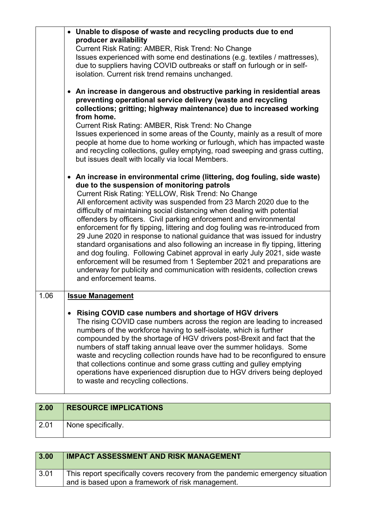|      | • Unable to dispose of waste and recycling products due to end<br>producer availability                                                                                                                                                                                                                                                                                                                                                                                                                                                                                                                                                                                                                                                                                                                                                     |
|------|---------------------------------------------------------------------------------------------------------------------------------------------------------------------------------------------------------------------------------------------------------------------------------------------------------------------------------------------------------------------------------------------------------------------------------------------------------------------------------------------------------------------------------------------------------------------------------------------------------------------------------------------------------------------------------------------------------------------------------------------------------------------------------------------------------------------------------------------|
|      | Current Risk Rating: AMBER, Risk Trend: No Change                                                                                                                                                                                                                                                                                                                                                                                                                                                                                                                                                                                                                                                                                                                                                                                           |
|      | Issues experienced with some end destinations (e.g. textiles / mattresses),                                                                                                                                                                                                                                                                                                                                                                                                                                                                                                                                                                                                                                                                                                                                                                 |
|      | due to suppliers having COVID outbreaks or staff on furlough or in self-<br>isolation. Current risk trend remains unchanged.                                                                                                                                                                                                                                                                                                                                                                                                                                                                                                                                                                                                                                                                                                                |
|      | • An increase in dangerous and obstructive parking in residential areas<br>preventing operational service delivery (waste and recycling<br>collections; gritting; highway maintenance) due to increased working<br>from home.                                                                                                                                                                                                                                                                                                                                                                                                                                                                                                                                                                                                               |
|      | Current Risk Rating: AMBER, Risk Trend: No Change                                                                                                                                                                                                                                                                                                                                                                                                                                                                                                                                                                                                                                                                                                                                                                                           |
|      | Issues experienced in some areas of the County, mainly as a result of more<br>people at home due to home working or furlough, which has impacted waste<br>and recycling collections, gulley emptying, road sweeping and grass cutting,<br>but issues dealt with locally via local Members.                                                                                                                                                                                                                                                                                                                                                                                                                                                                                                                                                  |
|      | • An increase in environmental crime (littering, dog fouling, side waste)                                                                                                                                                                                                                                                                                                                                                                                                                                                                                                                                                                                                                                                                                                                                                                   |
|      | due to the suspension of monitoring patrols<br>Current Risk Rating: YELLOW, Risk Trend: No Change<br>All enforcement activity was suspended from 23 March 2020 due to the<br>difficulty of maintaining social distancing when dealing with potential<br>offenders by officers. Civil parking enforcement and environmental<br>enforcement for fly tipping, littering and dog fouling was re-introduced from<br>29 June 2020 in response to national guidance that was issued for industry<br>standard organisations and also following an increase in fly tipping, littering<br>and dog fouling. Following Cabinet approval in early July 2021, side waste<br>enforcement will be resumed from 1 September 2021 and preparations are<br>underway for publicity and communication with residents, collection crews<br>and enforcement teams. |
| 1.06 | <b>Issue Management</b>                                                                                                                                                                                                                                                                                                                                                                                                                                                                                                                                                                                                                                                                                                                                                                                                                     |
|      |                                                                                                                                                                                                                                                                                                                                                                                                                                                                                                                                                                                                                                                                                                                                                                                                                                             |
|      | Rising COVID case numbers and shortage of HGV drivers<br>The rising COVID case numbers across the region are leading to increased<br>numbers of the workforce having to self-isolate, which is further<br>compounded by the shortage of HGV drivers post-Brexit and fact that the<br>numbers of staff taking annual leave over the summer holidays. Some<br>waste and recycling collection rounds have had to be reconfigured to ensure<br>that collections continue and some grass cutting and gulley emptying<br>operations have experienced disruption due to HGV drivers being deployed<br>to waste and recycling collections.                                                                                                                                                                                                          |

| 2.00 | <b>RESOURCE IMPLICATIONS</b> |
|------|------------------------------|
| 2.01 | None specifically.           |

| 3.00 | <b>IMPACT ASSESSMENT AND RISK MANAGEMENT</b>                                                                                        |
|------|-------------------------------------------------------------------------------------------------------------------------------------|
| 3.01 | This report specifically covers recovery from the pandemic emergency situation<br>and is based upon a framework of risk management. |